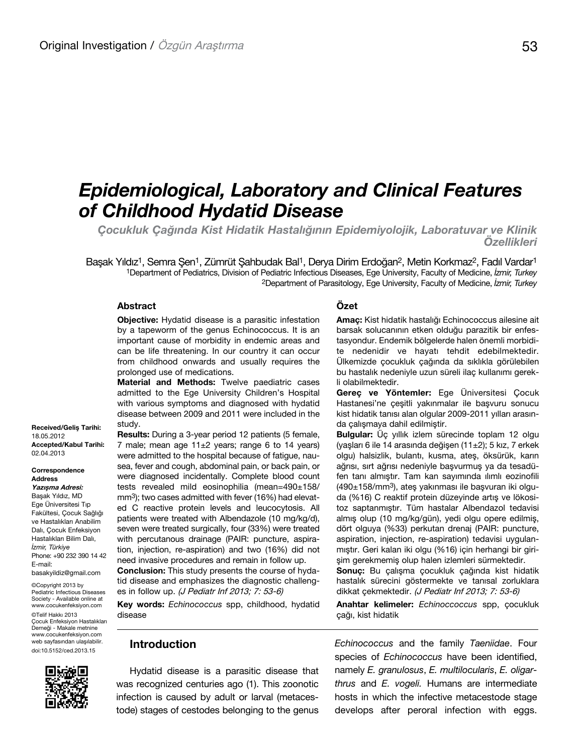# *Epidemiological, Laboratory and Clinical Features of Childhood Hydatid Disease*

*Çocukluk Çağında Kist Hidatik Hastalığının Epidemiyolojik, Laboratuvar ve Klinik Özellikleri* 

Başak Yıldız<sup>1</sup>, Semra Şen<sup>1</sup>, Zümrüt Şahbudak Bal<sup>1</sup>, Derya Dirim Erdoğan<sup>2</sup>, Metin Korkmaz<sup>2</sup>, Fadıl Vardar<sup>1</sup> 1Department of Pediatrics, Division of Pediatric Infectious Diseases, Ege University, Faculty of Medicine, *İzmir, Turkey* 2Department of Parasitology, Ege University, Faculty of Medicine, *İzmir, Turkey*

#### **Abstract**

**Objective:** Hydatid disease is a parasitic infestation by a tapeworm of the genus Echinococcus. It is an important cause of morbidity in endemic areas and can be life threatening. In our country it can occur from childhood onwards and usually requires the prolonged use of medications.

**Material and Methods:** Twelve paediatric cases admitted to the Ege University Children's Hospital with various symptoms and diagnosed with hydatid disease between 2009 and 2011 were included in the study.

**Results:** During a 3-year period 12 patients (5 female, 7 male; mean age  $11±2$  years; range 6 to 14 years) were admitted to the hospital because of fatigue, nausea, fever and cough, abdominal pain, or back pain, or were diagnosed incidentally. Complete blood count tests revealed mild eosinophilia (mean=490±158/ mm<sup>3</sup>); two cases admitted with fever (16%) had elevated C reactive protein levels and leucocytosis. All patients were treated with Albendazole (10 mg/kg/d), seven were treated surgically, four (33%) were treated with percutanous drainage (PAIR: puncture, aspiration, injection, re-aspiration) and two (16%) did not need invasive procedures and remain in follow up.

**Conclusion:** This study presents the course of hydatid disease and emphasizes the diagnostic challenges in follow up. (J Pediatr Inf 2013; 7: 53-6)

**Key words:** *Echinococcus* spp, childhood, hydatid disease

### **Introduction**

Hydatid disease is a parasitic disease that was recognized centuries ago (1). This zoonotic infection is caused by adult or larval (metacestode) stages of cestodes belonging to the genus

#### **Özet**

**Amaç:** Kist hidatik hastalığı Echinococcus ailesine ait barsak solucanının etken olduğu parazitik bir enfestasyondur. Endemik bölgelerde halen önemli morbidite nedenidir ve hayatı tehdit edebilmektedir. Ülkemizde çocukluk çağında da sıklıkla görülebilen bu hastalık nedeniyle uzun süreli ilaç kullanımı gerekli olabilmektedir.

**Gereç ve Yöntemler:** Ege Üniversitesi Çocuk Hastanesi'ne çeşitli yakınmalar ile başvuru sonucu kist hidatik tanısı alan olgular 2009-2011 yılları arasında çalışmaya dahil edilmiştir.

**Bulgular:** Üc yıllık izlem sürecinde toplam 12 olgu (yaşları 6 ile 14 arasında değişen (11±2); 5 kız, 7 erkek olgu) halsizlik, bulantı, kusma, ateş, öksürük, karın ağrısı, sırt ağrısı nedeniyle başvurmuş ya da tesadüfen tanı almıştır. Tam kan sayımında ılımlı eozinofili (490±158/mm3), ateş yakınması ile başvuran iki olguda (%16) C reaktif protein düzeyinde artış ve lökositoz saptanmıştır. Tüm hastalar Albendazol tedavisi almış olup (10 mg/kg/gün), yedi olgu opere edilmiş, dört olguya (%33) perkutan drenaj (PAIR: puncture, aspiration, injection, re-aspiration) tedavisi uygulanmıştır. Geri kalan iki olgu (%16) için herhangi bir girişim gerekmemiş olup halen izlemleri sürmektedir.

**Sonuç:** Bu çalışma çocukluk çağında kist hidatik hastalık sürecini göstermekte ve tanısal zorluklara dikkat çekmektedir. (J Pediatr Inf 2013; 7: 53-6)

**Anahtar kelimeler:** *Echinoccoccus* spp, çocukluk çağı, kist hidatik

*Echinococcus* and the family *Taeniidae*. Four species of *Echinococcus* have been identified, namely *E. granulosus*, *E. multilocularis*, *E. oligarthrus* and *E. vogeli.* Humans are intermediate hosts in which the infective metacestode stage develops after peroral infection with eggs.

Correspondence Address

**Yazışma Adresi:** Başak Yıldız, MD Ege Üniversitesi Tıp Fakültesi, Çocuk Sağlığı ve Hastalıkları Anabilim Dalı, Çocuk Enfeksiyon Hastalıkları Bilim Dalı, *İzmir, Türkiye* Phone: +90 232 390 14 42 E-mail: basakyildiz@gmail.com

©Copyright 2013 by Pediatric Infectious Diseases Society - Available online at www.cocukenfeksiyon.com ©Telif Hakkı 2013 Çocuk Enfeksiyon Hastalıkları Derneği - Makale metnine www.cocukenfeksiyon.com web sayfasından ulaşılabilir. doi:10.5152/ced.2013.15

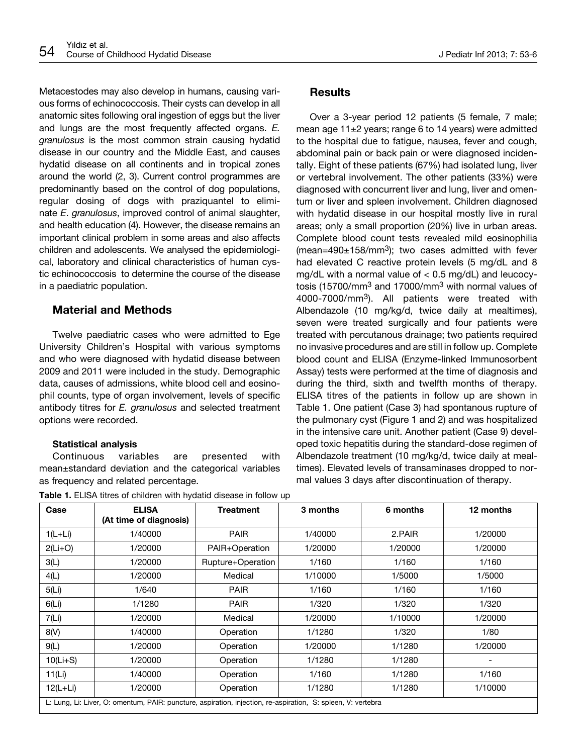Metacestodes may also develop in humans, causing various forms of echinococcosis. Their cysts can develop in all anatomic sites following oral ingestion of eggs but the liver and lungs are the most frequently affected organs. *E. granulosus* is the most common strain causing hydatid disease in our country and the Middle East, and causes hydatid disease on all continents and in tropical zones around the world (2, 3). Current control programmes are predominantly based on the control of dog populations, regular dosing of dogs with praziquantel to eliminate *E*. *granulosus*, improved control of animal slaughter, and health education (4). However, the disease remains an important clinical problem in some areas and also affects children and adolescents. We analysed the epidemiological, laboratory and clinical characteristics of human cystic echinococcosis to determine the course of the disease in a paediatric population.

# **Material and Methods**

Twelve paediatric cases who were admitted to Ege University Children's Hospital with various symptoms and who were diagnosed with hydatid disease between 2009 and 2011 were included in the study. Demographic data, causes of admissions, white blood cell and eosinophil counts, type of organ involvement, levels of specific antibody titres for *E. granulosus* and selected treatment options were recorded.

#### **Statistical analysis**

Continuous variables are presented with mean±standard deviation and the categorical variables as frequency and related percentage.

| Case       | <b>ELISA</b><br>(At time of diagnosis)                                                                       | <b>Treatment</b>  | 3 months | 6 months | 12 months |
|------------|--------------------------------------------------------------------------------------------------------------|-------------------|----------|----------|-----------|
| $1(L+Li)$  | 1/40000                                                                                                      | <b>PAIR</b>       | 1/40000  | 2.PAIR   | 1/20000   |
| $2(Li+O)$  | 1/20000                                                                                                      | PAIR+Operation    | 1/20000  | 1/20000  | 1/20000   |
| 3(L)       | 1/20000                                                                                                      | Rupture+Operation | 1/160    | 1/160    | 1/160     |
| 4(L)       | 1/20000                                                                                                      | Medical           | 1/10000  | 1/5000   | 1/5000    |
| 5(L)       | 1/640                                                                                                        | <b>PAIR</b>       | 1/160    | 1/160    | 1/160     |
| 6(L)       | 1/1280                                                                                                       | <b>PAIR</b>       | 1/320    | 1/320    | 1/320     |
| 7(Li)      | 1/20000                                                                                                      | Medical           | 1/20000  | 1/10000  | 1/20000   |
| 8(V)       | 1/40000                                                                                                      | Operation         | 1/1280   | 1/320    | 1/80      |
| 9(L)       | 1/20000                                                                                                      | Operation         | 1/20000  | 1/1280   | 1/20000   |
| $10(Li+S)$ | 1/20000                                                                                                      | Operation         | 1/1280   | 1/1280   |           |
| 11(Li)     | 1/40000                                                                                                      | Operation         | 1/160    | 1/1280   | 1/160     |
| $12(L+Li)$ | 1/20000                                                                                                      | Operation         | 1/1280   | 1/1280   | 1/10000   |
|            | L: Lung, Li: Liver, O: omentum, PAIR: puncture, aspiration, injection, re-aspiration, S: spleen, V: vertebra |                   |          |          |           |

**Table 1.** FLISA titres of children with hydatid disease in follow up

# **Results**

Over a 3-year period 12 patients (5 female, 7 male; mean age 11±2 years; range 6 to 14 years) were admitted to the hospital due to fatigue, nausea, fever and cough, abdominal pain or back pain or were diagnosed incidentally. Eight of these patients (67%) had isolated lung, liver or vertebral involvement. The other patients (33%) were diagnosed with concurrent liver and lung, liver and omentum or liver and spleen involvement. Children diagnosed with hydatid disease in our hospital mostly live in rural areas; only a small proportion (20%) live in urban areas. Complete blood count tests revealed mild eosinophilia  $(mean=490±158/mm<sup>3</sup>)$ ; two cases admitted with fever had elevated C reactive protein levels (5 mg/dL and 8 mg/dL with a normal value of  $< 0.5$  mg/dL) and leucocytosis (15700/mm3 and 17000/mm3 with normal values of 4000-7000/mm3). All patients were treated with Albendazole (10 mg/kg/d, twice daily at mealtimes), seven were treated surgically and four patients were treated with percutanous drainage; two patients required no invasive procedures and are still in follow up. Complete blood count and ELISA (Enzyme-linked Immunosorbent Assay) tests were performed at the time of diagnosis and during the third, sixth and twelfth months of therapy. ELISA titres of the patients in follow up are shown in Table 1. One patient (Case 3) had spontanous rupture of the pulmonary cyst (Figure 1 and 2) and was hospitalized in the intensive care unit. Another patient (Case 9) developed toxic hepatitis during the standard-dose regimen of Albendazole treatment (10 mg/kg/d, twice daily at mealtimes). Elevated levels of transaminases dropped to normal values 3 days after discontinuation of therapy.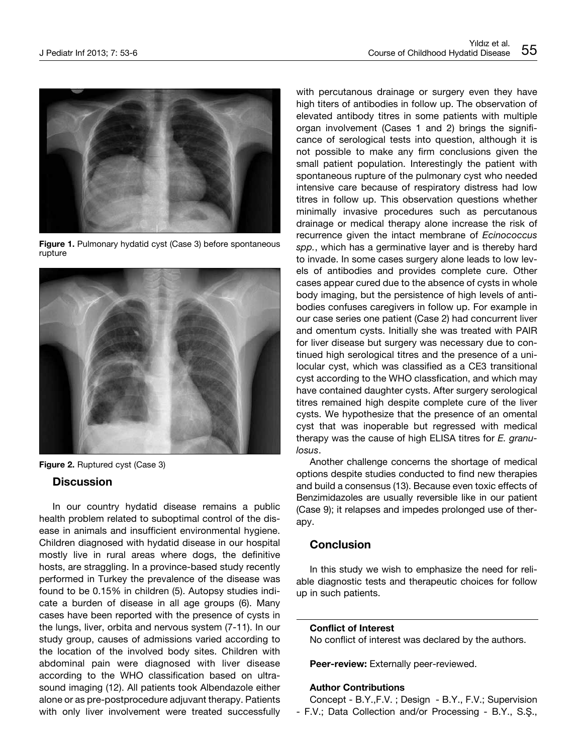

**Figure 1.** Pulmonary hydatid cyst (Case 3) before spontaneous rupture





## **Discussion**

In our country hydatid disease remains a public health problem related to suboptimal control of the disease in animals and insufficient environmental hygiene. Children diagnosed with hydatid disease in our hospital mostly live in rural areas where dogs, the definitive hosts, are straggling. In a province-based study recently performed in Turkey the prevalence of the disease was found to be 0.15% in children (5). Autopsy studies indicate a burden of disease in all age groups (6). Many cases have been reported with the presence of cysts in the lungs, liver, orbita and nervous system (7-11). In our study group, causes of admissions varied according to the location of the involved body sites. Children with abdominal pain were diagnosed with liver disease according to the WHO classification based on ultrasound imaging (12). All patients took Albendazole either alone or as pre-postprocedure adjuvant therapy. Patients with only liver involvement were treated successfully

with percutanous drainage or surgery even they have high titers of antibodies in follow up. The observation of elevated antibody titres in some patients with multiple organ involvement (Cases 1 and 2) brings the significance of serological tests into question, although it is not possible to make any firm conclusions given the small patient population. Interestingly the patient with spontaneous rupture of the pulmonary cyst who needed intensive care because of respiratory distress had low titres in follow up. This observation questions whether minimally invasive procedures such as percutanous drainage or medical therapy alone increase the risk of recurrence given the intact membrane of *Ecinococcus spp.*, which has a germinative layer and is thereby hard to invade. In some cases surgery alone leads to low levels of antibodies and provides complete cure. Other cases appear cured due to the absence of cysts in whole body imaging, but the persistence of high levels of antibodies confuses caregivers in follow up. For example in our case series one patient (Case 2) had concurrent liver and omentum cysts. Initially she was treated with PAIR for liver disease but surgery was necessary due to continued high serological titres and the presence of a unilocular cyst, which was classified as a CE3 transitional cyst according to the WHO classfication, and which may have contained daughter cysts. After surgery serological titres remained high despite complete cure of the liver cysts. We hypothesize that the presence of an omental cyst that was inoperable but regressed with medical therapy was the cause of high ELISA titres for *E. granulosus*.

Another challenge concerns the shortage of medical options despite studies conducted to find new therapies and build a consensus (13). Because even toxic effects of Benzimidazoles are usually reversible like in our patient (Case 9); it relapses and impedes prolonged use of therapy.

## **Conclusion**

In this study we wish to emphasize the need for reliable diagnostic tests and therapeutic choices for follow up in such patients.

#### **Conflict of Interest**

No conflict of interest was declared by the authors.

Peer-review: Externally peer-reviewed.

## **Author Contributions**

Concept - B.Y.,F.V. ; Design - B.Y., F.V.; Supervision - F.V.; Data Collection and/or Processing - B.Y., S.Ş.,